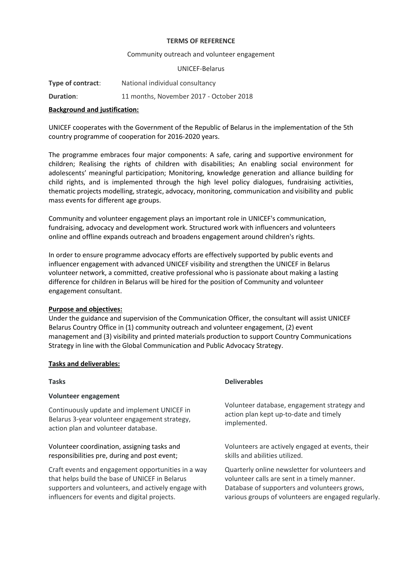#### **TERMS OF REFERENCE**

## Community outreach and volunteer engagement

## UNICEF-Belarus

| Type of contract: | National individual consultancy         |
|-------------------|-----------------------------------------|
| <b>Duration:</b>  | 11 months, November 2017 - October 2018 |

# **Background and justification:**

UNICEF cooperates with the Government of the Republic of Belarus in the implementation of the 5th country programme of cooperation for 2016-2020 years.

The programme embraces four major components: A safe, caring and supportive environment for children; Realising the rights of children with disabilities; An enabling social environment for adolescents' meaningful participation; Monitoring, knowledge generation and alliance building for child rights, and is implemented through the high level policy dialogues, fundraising activities, thematic projects modelling, strategic, advocacy, monitoring, communication and visibility and public mass events for different age groups.

Community and volunteer engagement plays an important role in UNICEF's communication, fundraising, advocacy and development work. Structured work with influencers and volunteers online and offline expands outreach and broadens engagement around children's rights.

In order to ensure programme advocacy efforts are effectively supported by public events and influencer engagement with advanced UNICEF visibility and strengthen the UNICEF in Belarus volunteer network, a committed, creative professional who is passionate about making a lasting difference for children in Belarus will be hired for the position of Community and volunteer engagement consultant.

# **Purpose and objectives:**

Under the guidance and supervision of the Communication Officer, the consultant will assist UNICEF Belarus Country Office in (1) community outreach and volunteer engagement, (2) event management and (3) visibility and printed materials production to support Country Communications Strategy in line with the Global Communication and Public Advocacy Strategy.

# **Tasks and deliverables:**

# **Volunteer engagement**

Continuously update and implement UNICEF in Belarus 3-year volunteer engagement strategy, action plan and volunteer database.

# Volunteer coordination, assigning tasks and responsibilities pre, during and post event;

Craft events and engagement opportunities in a way that helps build the base of UNICEF in Belarus supporters and volunteers, and actively engage with influencers for events and digital projects.

# **Tasks Deliverables**

Volunteer database, engagement strategy and action plan kept up-to-date and timely implemented.

Volunteers are actively engaged at events, their skills and abilities utilized.

Quarterly online newsletter for volunteers and volunteer calls are sent in a timely manner. Database of supporters and volunteers grows, various groups of volunteers are engaged regularly.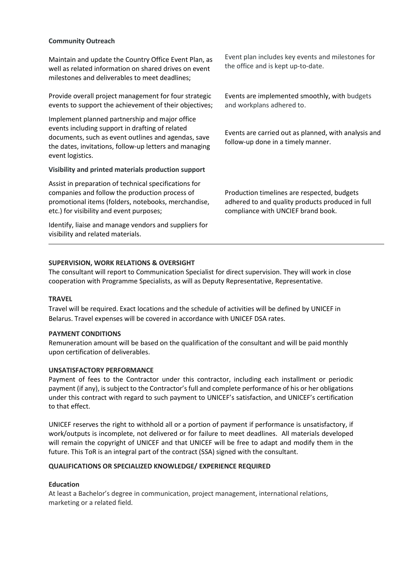## **Community Outreach**

Maintain and update the Country Office Event Plan, as well as related information on shared drives on event milestones and deliverables to meet deadlines;

Provide overall project management for four strategic events to support the achievement of their objectives;

Implement planned partnership and major office events including support in drafting of related documents, such as event outlines and agendas, save the dates, invitations, follow-up letters and managing event logistics.

#### **Visibility and printed materials production support**

Assist in preparation of technical specifications for companies and follow the production process of promotional items (folders, notebooks, merchandise, etc.) for visibility and event purposes;

Identify, liaise and manage vendors and suppliers for visibility and related materials.

Event plan includes key events and milestones for the office and is kept up-to-date.

Events are implemented smoothly, with budgets and workplans adhered to.

Events are carried out as planned, with analysis and follow-up done in a timely manner.

Production timelines are respected, budgets adhered to and quality products produced in full compliance with UNCIEF brand book.

### **SUPERVISION, WORK RELATIONS & OVERSIGHT**

The consultant will report to Communication Specialist for direct supervision. They will work in close cooperation with Programme Specialists, as will as Deputy Representative, Representative.

## **TRAVEL**

Travel will be required. Exact locations and the schedule of activities will be defined by UNICEF in Belarus. Travel expenses will be covered in accordance with UNICEF DSA rates.

#### **PAYMENT CONDITIONS**

Remuneration amount will be based on the qualification of the consultant and will be paid monthly upon certification of deliverables.

#### **UNSATISFACTORY PERFORMANCE**

Payment of fees to the Contractor under this contractor, including each installment or periodic payment (if any), is subject to the Contractor's full and complete performance of his or her obligations under this contract with regard to such payment to UNICEF's satisfaction, and UNICEF's certification to that effect.

UNICEF reserves the right to withhold all or a portion of payment if performance is unsatisfactory, if work/outputs is incomplete, not delivered or for failure to meet deadlines. All materials developed will remain the copyright of UNICEF and that UNICEF will be free to adapt and modify them in the future. This ToR is an integral part of the contract (SSA) signed with the consultant.

#### **QUALIFICATIONS OR SPECIALIZED KNOWLEDGE/ EXPERIENCE REQUIRED**

#### **Education**

At least a Bachelor's degree in communication, project management, international relations, marketing or a related field.